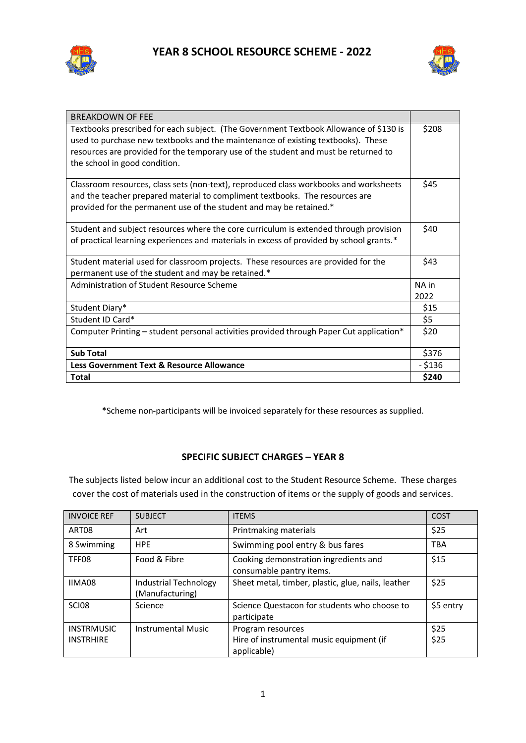



| <b>BREAKDOWN OF FEE</b>                                                                                                                                                                                                                                                                           |               |
|---------------------------------------------------------------------------------------------------------------------------------------------------------------------------------------------------------------------------------------------------------------------------------------------------|---------------|
| Textbooks prescribed for each subject. (The Government Textbook Allowance of \$130 is<br>used to purchase new textbooks and the maintenance of existing textbooks). These<br>resources are provided for the temporary use of the student and must be returned to<br>the school in good condition. | \$208         |
| Classroom resources, class sets (non-text), reproduced class workbooks and worksheets<br>and the teacher prepared material to compliment textbooks. The resources are<br>provided for the permanent use of the student and may be retained.*                                                      | \$45          |
| Student and subject resources where the core curriculum is extended through provision<br>of practical learning experiences and materials in excess of provided by school grants.*                                                                                                                 | \$40          |
| Student material used for classroom projects. These resources are provided for the<br>permanent use of the student and may be retained.*                                                                                                                                                          | \$43          |
| Administration of Student Resource Scheme                                                                                                                                                                                                                                                         | NA in<br>2022 |
| Student Diary*                                                                                                                                                                                                                                                                                    | \$15          |
| Student ID Card*                                                                                                                                                                                                                                                                                  | \$5           |
| Computer Printing – student personal activities provided through Paper Cut application*                                                                                                                                                                                                           | \$20          |
| <b>Sub Total</b>                                                                                                                                                                                                                                                                                  | \$376         |
| Less Government Text & Resource Allowance                                                                                                                                                                                                                                                         | $-$ \$136     |
| <b>Total</b>                                                                                                                                                                                                                                                                                      | \$240         |

\*Scheme non-participants will be invoiced separately for these resources as supplied.

## **SPECIFIC SUBJECT CHARGES – YEAR 8**

The subjects listed below incur an additional cost to the Student Resource Scheme. These charges cover the cost of materials used in the construction of items or the supply of goods and services.

| <b>INVOICE REF</b>                    | <b>SUBJECT</b>                                  | <b>ITEMS</b>                                                                 | <b>COST</b>  |
|---------------------------------------|-------------------------------------------------|------------------------------------------------------------------------------|--------------|
| ART08                                 | Art                                             | Printmaking materials                                                        | \$25         |
| 8 Swimming                            | <b>HPE</b>                                      | Swimming pool entry & bus fares                                              | <b>TBA</b>   |
| TFF08                                 | Food & Fibre                                    | Cooking demonstration ingredients and<br>consumable pantry items.            | \$15         |
| IIMA08                                | <b>Industrial Technology</b><br>(Manufacturing) | Sheet metal, timber, plastic, glue, nails, leather                           | \$25         |
| <b>SCI08</b>                          | Science                                         | Science Questacon for students who choose to<br>participate                  | \$5 entry    |
| <b>INSTRMUSIC</b><br><b>INSTRHIRE</b> | <b>Instrumental Music</b>                       | Program resources<br>Hire of instrumental music equipment (if<br>applicable) | \$25<br>\$25 |